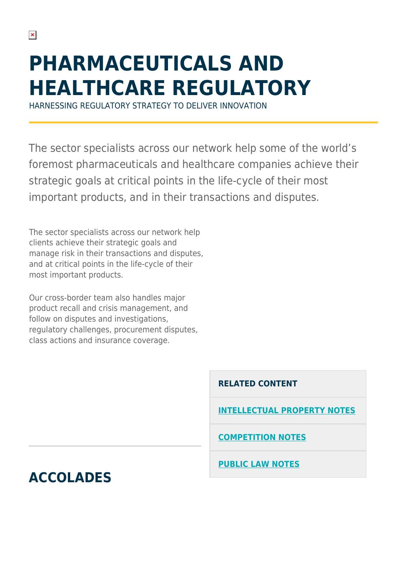# **PHARMACEUTICALS AND HEALTHCARE REGULATORY**

HARNESSING REGULATORY STRATEGY TO DELIVER INNOVATION

The sector specialists across our network help some of the world's foremost pharmaceuticals and healthcare companies achieve their strategic goals at critical points in the life-cycle of their most important products, and in their transactions and disputes.

The sector specialists across our network help clients achieve their strategic goals and manage risk in their transactions and disputes, and at critical points in the life-cycle of their most important products.

Our cross-border team also handles major product recall and crisis management, and follow on disputes and investigations, regulatory challenges, procurement disputes, class actions and insurance coverage.

**RELATED CONTENT**

**[INTELLECTUAL PROPERTY NOTES](https://hsfnotes.com/ip/)**

**[COMPETITION NOTES](https://hsfnotes.com/crt/)**

**[PUBLIC LAW NOTES](https://hsfnotes.com/publiclaw/)**

**ACCOLADES**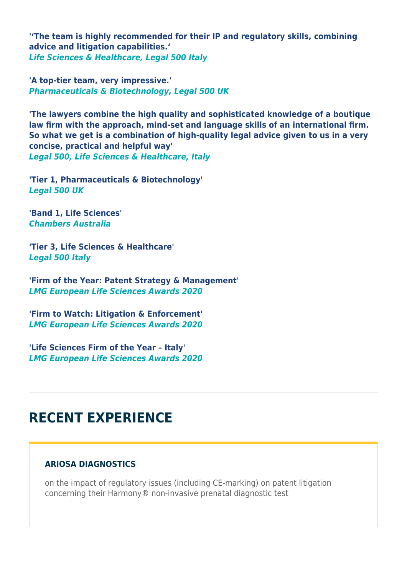**''The team is highly recommended for their IP and regulatory skills, combining advice and litigation capabilities.'** *Life Sciences & Healthcare, Legal 500 Italy*

**'A top-tier team, very impressive.'** *Pharmaceuticals & Biotechnology, Legal 500 UK*

**'The lawyers combine the high quality and sophisticated knowledge of a boutique law firm with the approach, mind-set and language skills of an international firm. So what we get is a combination of high-quality legal advice given to us in a very concise, practical and helpful way'** *Legal 500, Life Sciences & Healthcare, Italy*

**'Tier 1, Pharmaceuticals & Biotechnology'** *Legal 500 UK*

**'Band 1, Life Sciences'** *Chambers Australia*

**'Tier 3, Life Sciences & Healthcare'** *Legal 500 Italy*

**'Firm of the Year: Patent Strategy & Management'** *LMG European Life Sciences Awards 2020*

**'Firm to Watch: Litigation & Enforcement'** *LMG European Life Sciences Awards 2020*

**'Life Sciences Firm of the Year – Italy'** *LMG European Life Sciences Awards 2020*

# **RECENT EXPERIENCE**

## **ARIOSA DIAGNOSTICS**

on the impact of regulatory issues (including CE-marking) on patent litigation concerning their Harmony® non-invasive prenatal diagnostic test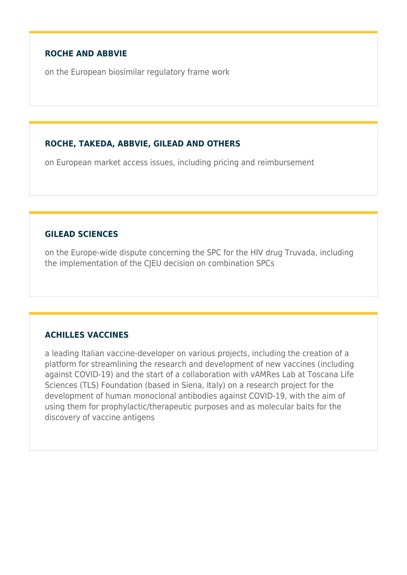#### **ROCHE AND ABBVIE**

on the European biosimilar regulatory frame work

#### **ROCHE, TAKEDA, ABBVIE, GILEAD AND OTHERS**

on European market access issues, including pricing and reimbursement

#### **GILEAD SCIENCES**

on the Europe-wide dispute concerning the SPC for the HIV drug Truvada, including the implementation of the CJEU decision on combination SPCs

## **ACHILLES VACCINES**

a leading Italian vaccine-developer on various projects, including the creation of a platform for streamlining the research and development of new vaccines (including against COVID-19) and the start of a collaboration with vAMRes Lab at Toscana Life Sciences (TLS) Foundation (based in Siena, Italy) on a research project for the development of human monoclonal antibodies against COVID-19, with the aim of using them for prophylactic/therapeutic purposes and as molecular baits for the discovery of vaccine antigens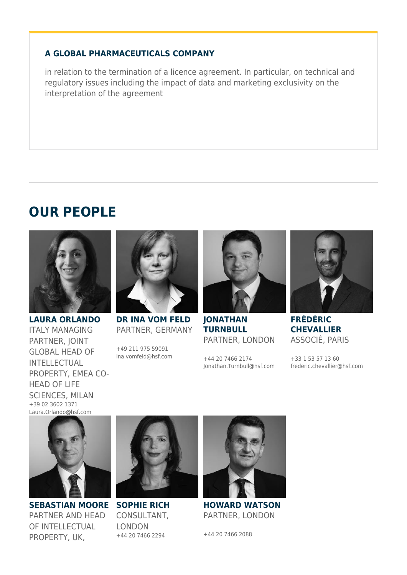#### **A GLOBAL PHARMACEUTICALS COMPANY**

in relation to the termination of a licence agreement. In particular, on technical and regulatory issues including the impact of data and marketing exclusivity on the interpretation of the agreement

## **OUR PEOPLE**



**LAURA ORLANDO** ITALY MANAGING PARTNER, JOINT GLOBAL HEAD OF INTELLECTUAL PROPERTY, EMEA CO-HEAD OF LIFE SCIENCES, MILAN +39 02 3602 1371 Laura.Orlando@hsf.com



**DR INA VOM FELD** PARTNER, GERMANY

+49 211 975 59091 ina.vomfeld@hsf.com



**JONATHAN TURNBULL** PARTNER, LONDON

+44 20 7466 2174 Jonathan.Turnbull@hsf.com



**FRÉDÉRIC CHEVALLIER** ASSOCIÉ, PARIS

+33 1 53 57 13 60 frederic.chevallier@hsf.com



**SEBASTIAN MOORE SOPHIE RICH** PARTNER AND HEAD OF INTELLECTUAL PROPERTY, UK,



CONSULTANT, LONDON +44 20 7466 2294



**HOWARD WATSON** PARTNER, LONDON

+44 20 7466 2088